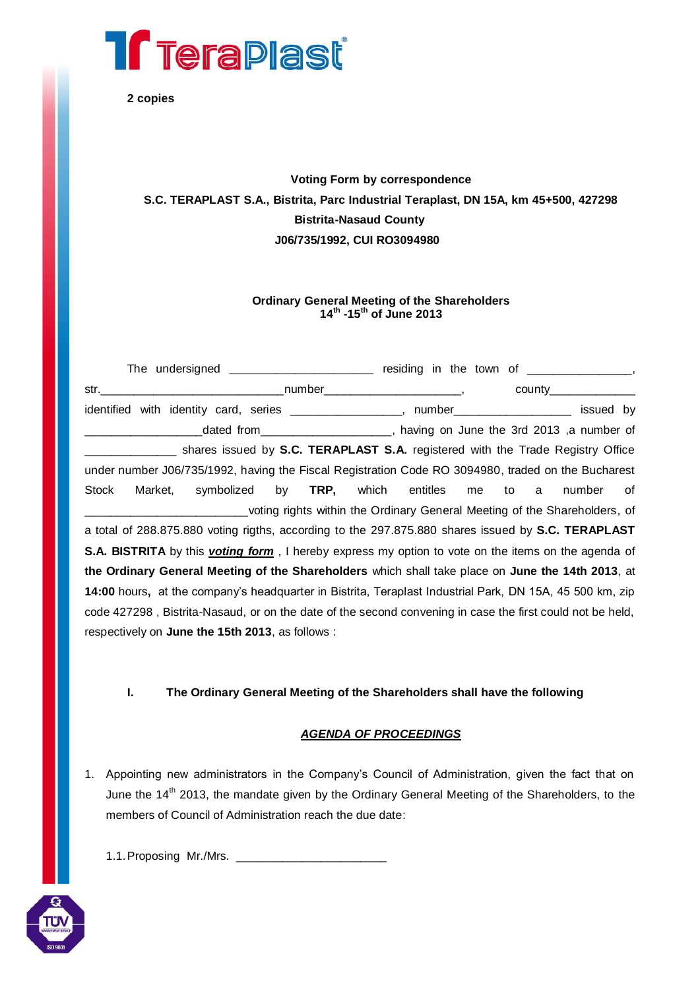

**2 copies**

# **Voting Form by correspondence S.C. TERAPLAST S.A., Bistrita, Parc Industrial Teraplast, DN 15A, km 45+500, 427298 Bistrita-Nasaud County J06/735/1992, CUI RO3094980**

## **Ordinary General Meeting of the Shareholders 14th -15th of June 2013**

|                                                                                                                    |  |  | The undersigned _______________________ residing in the town of ________________, |  |                             |        |    |
|--------------------------------------------------------------------------------------------------------------------|--|--|-----------------------------------------------------------------------------------|--|-----------------------------|--------|----|
|                                                                                                                    |  |  |                                                                                   |  | $county$ __________________ |        |    |
| identified with identity card, series _________________, number__________________ issued by                        |  |  |                                                                                   |  |                             |        |    |
|                                                                                                                    |  |  | dated from____________________, having on June the 3rd 2013, a number of          |  |                             |        |    |
|                                                                                                                    |  |  | shares issued by S.C. TERAPLAST S.A. registered with the Trade Registry Office    |  |                             |        |    |
| under number J06/735/1992, having the Fiscal Registration Code RO 3094980, traded on the Bucharest                 |  |  |                                                                                   |  |                             |        |    |
| Stock                                                                                                              |  |  | Market, symbolized by TRP, which entitles me to a                                 |  |                             | number | of |
|                                                                                                                    |  |  | voting rights within the Ordinary General Meeting of the Shareholders, of         |  |                             |        |    |
| a total of 288.875.880 voting rigths, according to the 297.875.880 shares issued by S.C. TERAPLAST                 |  |  |                                                                                   |  |                             |        |    |
| <b>S.A. BISTRITA</b> by this <i>voting form</i> , I hereby express my option to vote on the items on the agenda of |  |  |                                                                                   |  |                             |        |    |
| the Ordinary General Meeting of the Shareholders which shall take place on June the 14th 2013, at                  |  |  |                                                                                   |  |                             |        |    |
| 14:00 hours, at the company's headquarter in Bistrita, Teraplast Industrial Park, DN 15A, 45 500 km, zip           |  |  |                                                                                   |  |                             |        |    |
| code 427298, Bistrita-Nasaud, or on the date of the second convening in case the first could not be held,          |  |  |                                                                                   |  |                             |        |    |
| respectively on June the 15th 2013, as follows :                                                                   |  |  |                                                                                   |  |                             |        |    |

**I. The Ordinary General Meeting of the Shareholders shall have the following**

## *AGENDA OF PROCEEDINGS*

- 1. Appointing new administrators in the Company's Council of Administration, given the fact that on June the 14<sup>th</sup> 2013, the mandate given by the Ordinary General Meeting of the Shareholders, to the members of Council of Administration reach the due date:
	- 1.1.Proposing Mr./Mrs. \_\_\_\_\_\_\_\_\_\_\_\_\_\_\_\_\_\_\_\_\_\_\_

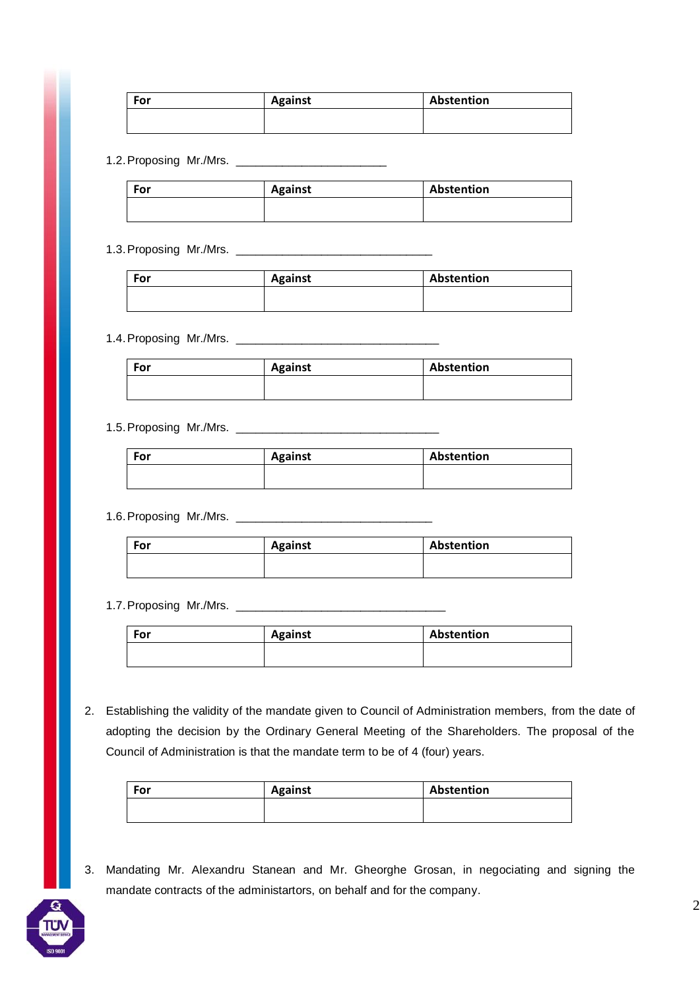| For | <b>Against</b> | Abstention |
|-----|----------------|------------|
|     |                |            |
|     |                |            |

### 1.2.Proposing Mr./Mrs. \_\_\_\_\_\_\_\_\_\_\_\_\_\_\_\_\_\_\_\_\_\_\_

| For | Against | Abstention |
|-----|---------|------------|
|     |         |            |

# 1.3.Proposing Mr./Mrs. \_\_\_\_\_\_\_\_\_\_\_\_\_\_\_\_\_\_\_\_\_\_\_\_\_\_\_\_\_\_

| For | <b>Against</b> | Abstention |
|-----|----------------|------------|
|     |                |            |
|     |                |            |

### 1.4.Proposing Mr./Mrs. \_\_\_\_\_\_\_\_\_\_\_\_\_\_\_\_\_\_\_\_\_\_\_\_\_\_\_\_\_\_\_

| For | <b>Against</b> | Abstention |
|-----|----------------|------------|
|     |                |            |

### 1.5.Proposing Mr./Mrs. \_\_\_\_\_\_\_\_\_\_\_\_\_\_\_\_\_\_\_\_\_\_\_\_\_\_\_\_\_\_\_

| For | <b>Against</b> | Abstention |
|-----|----------------|------------|
|     |                |            |
|     |                |            |

# 1.6.Proposing Mr./Mrs. \_\_\_\_\_\_\_\_\_\_\_\_\_\_\_\_\_\_\_\_\_\_\_\_\_\_\_\_\_\_

| For | <b>Against</b> | Abstention |
|-----|----------------|------------|
|     |                |            |

## 1.7.Proposing Mr./Mrs. \_\_\_\_\_\_\_\_\_\_\_\_\_\_\_\_\_\_\_\_\_\_\_\_\_\_\_\_\_\_\_\_

| For | <b>Against</b> | Abstention |
|-----|----------------|------------|
|     |                |            |

2. Establishing the validity of the mandate given to Council of Administration members, from the date of adopting the decision by the Ordinary General Meeting of the Shareholders. The proposal of the Council of Administration is that the mandate term to be of 4 (four) years.

| For | <b>Against</b> | Abstention |
|-----|----------------|------------|
|     |                |            |

3. Mandating Mr. Alexandru Stanean and Mr. Gheorghe Grosan, in negociating and signing the mandate contracts of the administartors, on behalf and for the company.

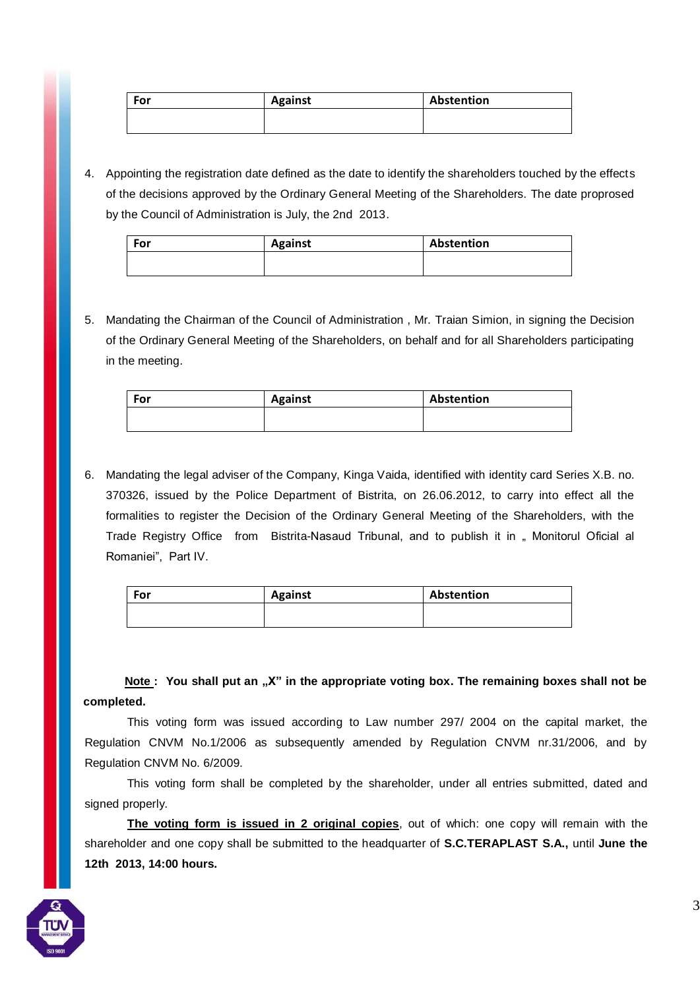| For | <b>Against</b> | Abstention |
|-----|----------------|------------|
|     |                |            |
|     |                |            |

4. Appointing the registration date defined as the date to identify the shareholders touched by the effects of the decisions approved by the Ordinary General Meeting of the Shareholders. The date proprosed by the Council of Administration is July, the 2nd 2013.

| For | <b>Against</b> | Abstention |
|-----|----------------|------------|
|     |                |            |

5. Mandating the Chairman of the Council of Administration , Mr. Traian Simion, in signing the Decision of the Ordinary General Meeting of the Shareholders, on behalf and for all Shareholders participating in the meeting.

| For | <b>Against</b> | Abstention |
|-----|----------------|------------|
|     |                |            |

6. Mandating the legal adviser of the Company, Kinga Vaida, identified with identity card Series X.B. no. 370326, issued by the Police Department of Bistrita, on 26.06.2012, to carry into effect all the formalities to register the Decision of the Ordinary General Meeting of the Shareholders, with the Trade Registry Office from Bistrita-Nasaud Tribunal, and to publish it in " Monitorul Oficial al Romaniei", Part IV.

| For | <b>Against</b> | Abstention |
|-----|----------------|------------|
|     |                |            |

**Note : You shall put an "X" in the appropriate voting box. The remaining boxes shall not be completed.**

This voting form was issued according to Law number 297/ 2004 on the capital market, the Regulation CNVM No.1/2006 as subsequently amended by Regulation CNVM nr.31/2006, and by Regulation CNVM No. 6/2009.

This voting form shall be completed by the shareholder, under all entries submitted, dated and signed properly.

**The voting form is issued in 2 original copies**, out of which: one copy will remain with the shareholder and one copy shall be submitted to the headquarter of **S.C.TERAPLAST S.A.,** until **June the 12th 2013, 14:00 hours.**